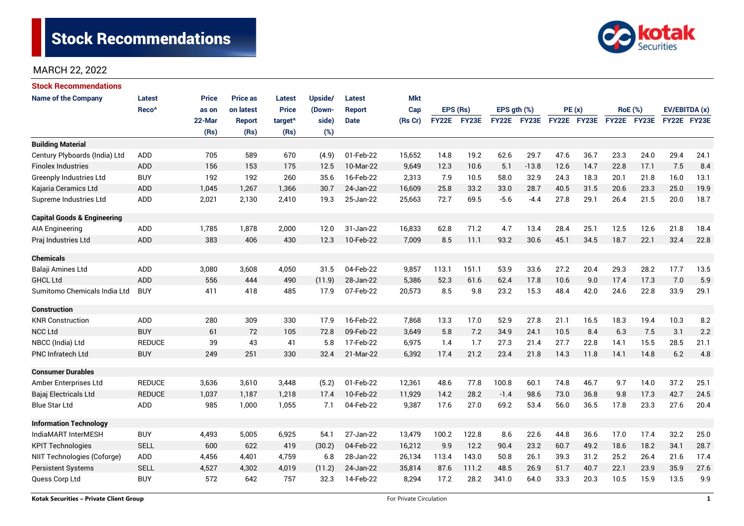# Stock Recommendations



# MARCH 22, 2022

| <b>Stock Recommendations</b>           |                   |              |                 |                     |         |               |            |              |              |                  |             |             |      |             |                |               |      |
|----------------------------------------|-------------------|--------------|-----------------|---------------------|---------|---------------|------------|--------------|--------------|------------------|-------------|-------------|------|-------------|----------------|---------------|------|
| <b>Name of the Company</b>             | Latest            | <b>Price</b> | <b>Price as</b> | <b>Latest</b>       | Upside/ | Latest        | <b>Mkt</b> |              |              |                  |             |             |      |             |                |               |      |
|                                        | Reco <sup>^</sup> | as on        | on latest       | <b>Price</b>        | (Down-  | <b>Report</b> | Cap        |              | EPS (Rs)     | EPS $qth$ $(\%)$ |             | PE(x)       |      |             | <b>RoE</b> (%) | EV/EBITDA (x) |      |
|                                        |                   | 22-Mar       | <b>Report</b>   | target <sup>^</sup> | side)   | <b>Date</b>   | (Rs Cr)    | <b>FY22E</b> | <b>FY23E</b> |                  | FY22E FY23E | FY22E FY23E |      | FY22E FY23E |                | FY22E FY23E   |      |
|                                        |                   | (Rs)         | (Rs)            | (Rs)                | (%)     |               |            |              |              |                  |             |             |      |             |                |               |      |
| <b>Building Material</b>               |                   |              |                 |                     |         |               |            |              |              |                  |             |             |      |             |                |               |      |
| Century Plyboards (India) Ltd          | <b>ADD</b>        | 705          | 589             | 670                 | (4.9)   | 01-Feb-22     | 15,652     | 14.8         | 19.2         | 62.6             | 29.7        | 47.6        | 36.7 | 23.3        | 24.0           | 29.4          | 24.1 |
| <b>Finolex Industries</b>              | ADD               | 156          | 153             | 175                 | 12.5    | 10-Mar-22     | 9,649      | 12.3         | 10.6         | 5.1              | $-13.8$     | 12.6        | 14.7 | 22.8        | 17.1           | 7.5           | 8.4  |
| <b>Greenply Industries Ltd</b>         | <b>BUY</b>        | 192          | 192             | 260                 | 35.6    | 16-Feb-22     | 2,313      | 7.9          | 10.5         | 58.0             | 32.9        | 24.3        | 18.3 | 20.1        | 21.8           | 16.0          | 13.1 |
| Kajaria Ceramics Ltd                   | <b>ADD</b>        | 1,045        | 1,267           | 1,366               | 30.7    | 24-Jan-22     | 16,609     | 25.8         | 33.2         | 33.0             | 28.7        | 40.5        | 31.5 | 20.6        | 23.3           | 25.0          | 19.9 |
| Supreme Industries Ltd                 | <b>ADD</b>        | 2,021        | 2,130           | 2,410               | 19.3    | 25-Jan-22     | 25,663     | 72.7         | 69.5         | $-5.6$           | $-4.4$      | 27.8        | 29.1 | 26.4        | 21.5           | 20.0          | 18.7 |
| <b>Capital Goods &amp; Engineering</b> |                   |              |                 |                     |         |               |            |              |              |                  |             |             |      |             |                |               |      |
| AIA Engineering                        | ADD               | 1,785        | 1,878           | 2,000               | 12.0    | 31-Jan-22     | 16,833     | 62.8         | 71.2         | 4.7              | 13.4        | 28.4        | 25.1 | 12.5        | 12.6           | 21.8          | 18.4 |
| Praj Industries Ltd                    | <b>ADD</b>        | 383          | 406             | 430                 | 12.3    | 10-Feb-22     | 7,009      | 8.5          | 11.1         | 93.2             | 30.6        | 45.1        | 34.5 | 18.7        | 22.1           | 32.4          | 22.8 |
| <b>Chemicals</b>                       |                   |              |                 |                     |         |               |            |              |              |                  |             |             |      |             |                |               |      |
| Balaji Amines Ltd                      | <b>ADD</b>        | 3,080        | 3,608           | 4,050               | 31.5    | 04-Feb-22     | 9,857      | 113.1        | 151.1        | 53.9             | 33.6        | 27.2        | 20.4 | 29.3        | 28.2           | 17.7          | 13.5 |
| <b>GHCL Ltd</b>                        | <b>ADD</b>        | 556          | 444             | 490                 | (11.9)  | 28-Jan-22     | 5,386      | 52.3         | 61.6         | 62.4             | 17.8        | 10.6        | 9.0  | 17.4        | 17.3           | 7.0           | 5.9  |
| Sumitomo Chemicals India Ltd           | <b>BUY</b>        | 411          | 418             | 485                 | 17.9    | 07-Feb-22     | 20,573     | 8.5          | 9.8          | 23.2             | 15.3        | 48.4        | 42.0 | 24.6        | 22.8           | 33.9          | 29.1 |
| <b>Construction</b>                    |                   |              |                 |                     |         |               |            |              |              |                  |             |             |      |             |                |               |      |
| <b>KNR Construction</b>                | <b>ADD</b>        | 280          | 309             | 330                 | 17.9    | 16-Feb-22     | 7,868      | 13.3         | 17.0         | 52.9             | 27.8        | 21.1        | 16.5 | 18.3        | 19.4           | 10.3          | 8.2  |
| <b>NCC Ltd</b>                         | <b>BUY</b>        | 61           | 72              | 105                 | 72.8    | 09-Feb-22     | 3,649      | 5.8          | 7.2          | 34.9             | 24.1        | 10.5        | 8.4  | 6.3         | 7.5            | 3.1           | 2.2  |
| NBCC (India) Ltd                       | <b>REDUCE</b>     | 39           | 43              | 41                  | 5.8     | 17-Feb-22     | 6,975      | 1.4          | 1.7          | 27.3             | 21.4        | 27.7        | 22.8 | 14.1        | 15.5           | 28.5          | 21.1 |
| PNC Infratech Ltd                      | <b>BUY</b>        | 249          | 251             | 330                 | 32.4    | 21-Mar-22     | 6,392      | 17.4         | 21.2         | 23.4             | 21.8        | 14.3        | 11.8 | 14.1        | 14.8           | 6.2           | 4.8  |
| <b>Consumer Durables</b>               |                   |              |                 |                     |         |               |            |              |              |                  |             |             |      |             |                |               |      |
| Amber Enterprises Ltd                  | <b>REDUCE</b>     | 3,636        | 3,610           | 3,448               | (5.2)   | 01-Feb-22     | 12,361     | 48.6         | 77.8         | 100.8            | 60.1        | 74.8        | 46.7 | 9.7         | 14.0           | 37.2          | 25.1 |
| Bajaj Electricals Ltd                  | <b>REDUCE</b>     | 1,037        | 1,187           | 1,218               | 17.4    | 10-Feb-22     | 11,929     | 14.2         | 28.2         | $-1.4$           | 98.6        | 73.0        | 36.8 | 9.8         | 17.3           | 42.7          | 24.5 |
| <b>Blue Star Ltd</b>                   | <b>ADD</b>        | 985          | 1,000           | 1,055               | 7.1     | 04-Feb-22     | 9,387      | 17.6         | 27.0         | 69.2             | 53.4        | 56.0        | 36.5 | 17.8        | 23.3           | 27.6          | 20.4 |
| <b>Information Technology</b>          |                   |              |                 |                     |         |               |            |              |              |                  |             |             |      |             |                |               |      |
| IndiaMART InterMESH                    | <b>BUY</b>        | 4,493        | 5,005           | 6,925               | 54.1    | 27-Jan-22     | 13,479     | 100.2        | 122.8        | 8.6              | 22.6        | 44.8        | 36.6 | 17.0        | 17.4           | 32.2          | 25.0 |
| <b>KPIT Technologies</b>               | <b>SELL</b>       | 600          | 622             | 419                 | (30.2)  | 04-Feb-22     | 16,212     | 9.9          | 12.2         | 90.4             | 23.2        | 60.7        | 49.2 | 18.6        | 18.2           | 34.1          | 28.7 |
| NIIT Technologies (Coforge)            | ADD               | 4,456        | 4,401           | 4,759               | 6.8     | 28-Jan-22     | 26,134     | 113.4        | 143.0        | 50.8             | 26.1        | 39.3        | 31.2 | 25.2        | 26.4           | 21.6          | 17.4 |
| <b>Persistent Systems</b>              | <b>SELL</b>       | 4,527        | 4,302           | 4,019               | (11.2)  | 24-Jan-22     | 35,814     | 87.6         | 111.2        | 48.5             | 26.9        | 51.7        | 40.7 | 22.1        | 23.9           | 35.9          | 27.6 |
| Quess Corp Ltd                         | <b>BUY</b>        | 572          | 642             | 757                 | 32.3    | 14-Feb-22     | 8,294      | 17.2         | 28.2         | 341.0            | 64.0        | 33.3        | 20.3 | 10.5        | 15.9           | 13.5          | 9.9  |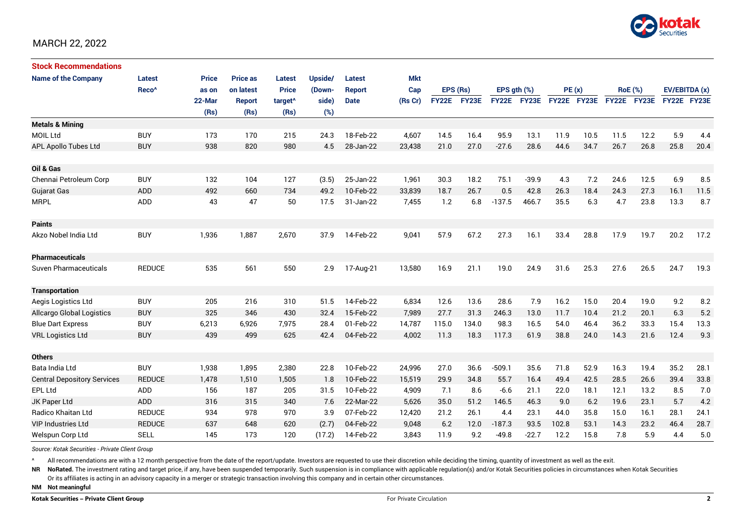

### MARCH 22, 2022

| <b>Stock Recommendations</b>       |                   |              |                 |                     |         |               |         |              |       |                  |              |             |      |             |                |               |      |
|------------------------------------|-------------------|--------------|-----------------|---------------------|---------|---------------|---------|--------------|-------|------------------|--------------|-------------|------|-------------|----------------|---------------|------|
| <b>Name of the Company</b>         | Latest            | <b>Price</b> | <b>Price as</b> | <b>Latest</b>       | Upside/ | Latest        | Mkt     |              |       |                  |              |             |      |             |                |               |      |
|                                    | Reco <sup>^</sup> | as on        | on latest       | <b>Price</b>        | (Down-  | <b>Report</b> | Cap     | EPS (Rs)     |       | EPS $qth$ $(\%)$ |              | PE(x)       |      |             | <b>RoE</b> (%) | EV/EBITDA (x) |      |
|                                    |                   | 22-Mar       | <b>Report</b>   | target <sup>^</sup> | side)   | <b>Date</b>   | (Rs Cr) | <b>FY22E</b> | FY23E | <b>FY22E</b>     | <b>FY23E</b> | FY22E FY23E |      | FY22E FY23E |                | FY22E FY23E   |      |
|                                    |                   | (Rs)         | (Rs)            | (Rs)                | (%)     |               |         |              |       |                  |              |             |      |             |                |               |      |
| <b>Metals &amp; Mining</b>         |                   |              |                 |                     |         |               |         |              |       |                  |              |             |      |             |                |               |      |
| <b>MOIL Ltd</b>                    | <b>BUY</b>        | 173          | 170             | 215                 | 24.3    | 18-Feb-22     | 4,607   | 14.5         | 16.4  | 95.9             | 13.1         | 11.9        | 10.5 | 11.5        | 12.2           | 5.9           | 4.4  |
| APL Apollo Tubes Ltd               | <b>BUY</b>        | 938          | 820             | 980                 | 4.5     | 28-Jan-22     | 23,438  | 21.0         | 27.0  | $-27.6$          | 28.6         | 44.6        | 34.7 | 26.7        | 26.8           | 25.8          | 20.4 |
|                                    |                   |              |                 |                     |         |               |         |              |       |                  |              |             |      |             |                |               |      |
| Oil & Gas                          |                   |              |                 |                     |         |               |         |              |       |                  |              |             |      |             |                |               |      |
| Chennai Petroleum Corp             | <b>BUY</b>        | 132          | 104             | 127                 | (3.5)   | 25-Jan-22     | 1,961   | 30.3         | 18.2  | 75.1             | $-39.9$      | 4.3         | 7.2  | 24.6        | 12.5           | 6.9           | 8.5  |
| <b>Gujarat Gas</b>                 | ADD               | 492          | 660             | 734                 | 49.2    | 10-Feb-22     | 33,839  | 18.7         | 26.7  | 0.5              | 42.8         | 26.3        | 18.4 | 24.3        | 27.3           | 16.1          | 11.5 |
| <b>MRPL</b>                        | ADD               | 43           | 47              | 50                  | 17.5    | 31-Jan-22     | 7,455   | 1.2          | 6.8   | $-137.5$         | 466.7        | 35.5        | 6.3  | 4.7         | 23.8           | 13.3          | 8.7  |
|                                    |                   |              |                 |                     |         |               |         |              |       |                  |              |             |      |             |                |               |      |
| <b>Paints</b>                      |                   |              |                 |                     |         |               |         |              |       |                  |              |             |      |             |                |               |      |
| Akzo Nobel India Ltd               | <b>BUY</b>        | 1,936        | 1,887           | 2,670               | 37.9    | 14-Feb-22     | 9,041   | 57.9         | 67.2  | 27.3             | 16.1         | 33.4        | 28.8 | 17.9        | 19.7           | 20.2          | 17.2 |
|                                    |                   |              |                 |                     |         |               |         |              |       |                  |              |             |      |             |                |               |      |
| <b>Pharmaceuticals</b>             |                   |              |                 |                     |         |               |         |              |       |                  |              |             |      |             |                |               |      |
| Suven Pharmaceuticals              | <b>REDUCE</b>     | 535          | 561             | 550                 | 2.9     | 17-Aug-21     | 13,580  | 16.9         | 21.1  | 19.0             | 24.9         | 31.6        | 25.3 | 27.6        | 26.5           | 24.7          | 19.3 |
|                                    |                   |              |                 |                     |         |               |         |              |       |                  |              |             |      |             |                |               |      |
| <b>Transportation</b>              |                   |              |                 |                     |         |               |         |              |       |                  |              |             |      |             |                |               |      |
| Aegis Logistics Ltd                | <b>BUY</b>        | 205          | 216             | 310                 | 51.5    | 14-Feb-22     | 6,834   | 12.6         | 13.6  | 28.6             | 7.9          | 16.2        | 15.0 | 20.4        | 19.0           | 9.2           | 8.2  |
| Allcargo Global Logistics          | <b>BUY</b>        | 325          | 346             | 430                 | 32.4    | 15-Feb-22     | 7,989   | 27.7         | 31.3  | 246.3            | 13.0         | 11.7        | 10.4 | 21.2        | 20.1           | 6.3           | 5.2  |
| <b>Blue Dart Express</b>           | <b>BUY</b>        | 6,213        | 6,926           | 7,975               | 28.4    | 01-Feb-22     | 14,787  | 115.0        | 134.0 | 98.3             | 16.5         | 54.0        | 46.4 | 36.2        | 33.3           | 15.4          | 13.3 |
| <b>VRL Logistics Ltd</b>           | <b>BUY</b>        | 439          | 499             | 625                 | 42.4    | 04-Feb-22     | 4,002   | 11.3         | 18.3  | 117.3            | 61.9         | 38.8        | 24.0 | 14.3        | 21.6           | 12.4          | 9.3  |
|                                    |                   |              |                 |                     |         |               |         |              |       |                  |              |             |      |             |                |               |      |
| <b>Others</b>                      |                   |              |                 |                     |         |               |         |              |       |                  |              |             |      |             |                |               |      |
| Bata India Ltd                     | <b>BUY</b>        | 1,938        | 1,895           | 2,380               | 22.8    | 10-Feb-22     | 24,996  | 27.0         | 36.6  | $-509.1$         | 35.6         | 71.8        | 52.9 | 16.3        | 19.4           | 35.2          | 28.1 |
| <b>Central Depository Services</b> | <b>REDUCE</b>     | 1,478        | 1,510           | 1,505               | 1.8     | 10-Feb-22     | 15,519  | 29.9         | 34.8  | 55.7             | 16.4         | 49.4        | 42.5 | 28.5        | 26.6           | 39.4          | 33.8 |
| <b>EPL Ltd</b>                     | ADD               | 156          | 187             | 205                 | 31.5    | 10-Feb-22     | 4,909   | 7.1          | 8.6   | $-6.6$           | 21.1         | 22.0        | 18.1 | 12.1        | 13.2           | 8.5           | 7.0  |
| JK Paper Ltd                       | ADD               | 316          | 315             | 340                 | 7.6     | 22-Mar-22     | 5,626   | 35.0         | 51.2  | 146.5            | 46.3         | 9.0         | 6.2  | 19.6        | 23.1           | 5.7           | 4.2  |
| Radico Khaitan Ltd                 | <b>REDUCE</b>     | 934          | 978             | 970                 | 3.9     | 07-Feb-22     | 12,420  | 21.2         | 26.1  | 4.4              | 23.1         | 44.0        | 35.8 | 15.0        | 16.1           | 28.1          | 24.1 |
| <b>VIP Industries Ltd</b>          | <b>REDUCE</b>     | 637          | 648             | 620                 | (2.7)   | 04-Feb-22     | 9,048   | 6.2          | 12.0  | $-187.3$         | 93.5         | 102.8       | 53.1 | 14.3        | 23.2           | 46.4          | 28.7 |
| Welspun Corp Ltd                   | <b>SELL</b>       | 145          | 173             | 120                 | (17.2)  | 14-Feb-22     | 3,843   | 11.9         | 9.2   | $-49.8$          | $-22.7$      | 12.2        | 15.8 | 7.8         | 5.9            | 4.4           | 5.0  |

*Source: Kotak Securities - Private Client Group*

^ All recommendations are with a 12 month perspective from the date of the report/update. Investors are requested to use their discretion while deciding the timing, quantity of investment as well as the exit.

NR NoRated. The investment rating and target price, if any, have been suspended temporarily. Such suspension is in compliance with applicable regulation(s) and/or Kotak Securities policies in circumstances when Kotak Secur Or its affiliates is acting in an advisory capacity in a merger or strategic transaction involving this company and in certain other circumstances.

**NM Not meaningful**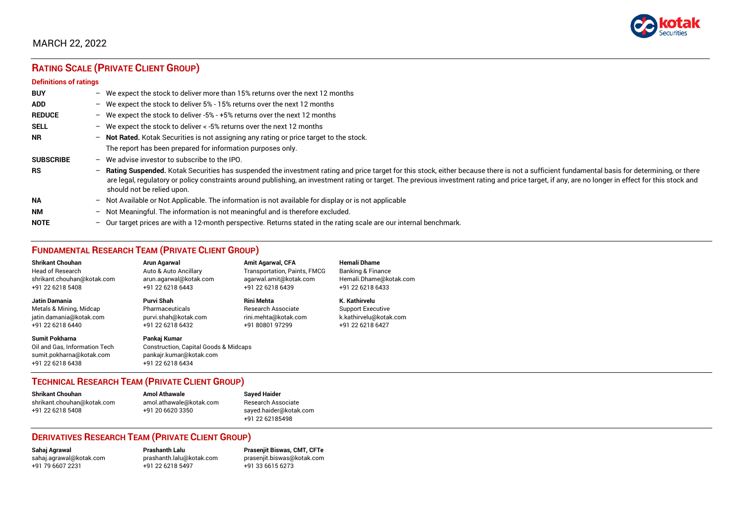

# MARCH 22, 2022

# **RATING SCALE (PRIVATE CLIENT GROUP)**

#### **Definitions of ratings**

| <b>BUY</b>       | - We expect the stock to deliver more than 15% returns over the next 12 months                                                                                                                                                                                                                                                                                                                                                     |
|------------------|------------------------------------------------------------------------------------------------------------------------------------------------------------------------------------------------------------------------------------------------------------------------------------------------------------------------------------------------------------------------------------------------------------------------------------|
| <b>ADD</b>       | - We expect the stock to deliver 5% - 15% returns over the next 12 months                                                                                                                                                                                                                                                                                                                                                          |
| <b>REDUCE</b>    | - We expect the stock to deliver -5% - +5% returns over the next 12 months                                                                                                                                                                                                                                                                                                                                                         |
| <b>SELL</b>      | - We expect the stock to deliver $\lt$ -5% returns over the next 12 months                                                                                                                                                                                                                                                                                                                                                         |
| <b>NR</b>        | - Not Rated. Kotak Securities is not assigning any rating or price target to the stock.                                                                                                                                                                                                                                                                                                                                            |
|                  | The report has been prepared for information purposes only.                                                                                                                                                                                                                                                                                                                                                                        |
| <b>SUBSCRIBE</b> | $-$ We advise investor to subscribe to the IPO.                                                                                                                                                                                                                                                                                                                                                                                    |
| <b>RS</b>        | - Rating Suspended. Kotak Securities has suspended the investment rating and price target for this stock, either because there is not a sufficient fundamental basis for determining, or there<br>are legal, regulatory or policy constraints around publishing, an investment rating or target. The previous investment rating and price target, if any, are no longer in effect for this stock and<br>should not be relied upon. |
| <b>NA</b>        | $-$ Not Available or Not Applicable. The information is not available for display or is not applicable                                                                                                                                                                                                                                                                                                                             |
| <b>NM</b>        | - Not Meaningful. The information is not meaningful and is therefore excluded.                                                                                                                                                                                                                                                                                                                                                     |
| <b>NOTE</b>      | $-$ Our target prices are with a 12-month perspective. Returns stated in the rating scale are our internal benchmark.                                                                                                                                                                                                                                                                                                              |

# **FUNDAMENTAL RESEARCH TEAM (PRIVATE CLIENT GROUP)**

| <b>Shrikant Chouhan</b>                                                                                | Arun Agarwal                                                                                         | <b>Amit Agarwal, CFA</b>            | <b>Hemali Dhame</b>      |
|--------------------------------------------------------------------------------------------------------|------------------------------------------------------------------------------------------------------|-------------------------------------|--------------------------|
| Head of Research                                                                                       | Auto & Auto Ancillary                                                                                | <b>Transportation, Paints, FMCG</b> | Banking & Finance        |
| shrikant.chouhan@kotak.com                                                                             | arun.agarwal@kotak.com                                                                               | agarwal.amit@kotak.com              | Hemali.Dhame@kotak.com   |
| +91 22 6218 5408                                                                                       | +91 22 6218 6443                                                                                     | +91 22 6218 6439                    | +91 22 6218 6433         |
| Jatin Damania                                                                                          | Purvi Shah                                                                                           | <b>Rini Mehta</b>                   | K. Kathirvelu            |
| Metals & Mining, Midcap                                                                                | Pharmaceuticals                                                                                      | <b>Research Associate</b>           | <b>Support Executive</b> |
| jatin.damania@kotak.com                                                                                | purvi.shah@kotak.com                                                                                 | rini.mehta@kotak.com                | k.kathirvelu@kotak.com   |
| +91 22 6218 6440                                                                                       | +91 22 6218 6432                                                                                     | +91 80801 97299                     | +91 22 6218 6427         |
| <b>Sumit Pokharna</b><br>Oil and Gas. Information Tech<br>sumit.pokharna@kotak.com<br>+91 22 6218 6438 | Pankaj Kumar<br>Construction, Capital Goods & Midcaps<br>pankajr.kumar@kotak.com<br>+91 22 6218 6434 |                                     |                          |

#### **TECHNICAL RESEARCH TEAM (PRIVATE CLIENT GROUP)**

| <b>Shrikant Chouhan</b>    | <b>Amol Athawale</b>    | <b>Sayed Haider</b>    |
|----------------------------|-------------------------|------------------------|
| shrikant.chouhan@kotak.com | amol.athawale@kotak.com | Research Associate     |
| +91 22 6218 5408           | +91 20 6620 3350        | sayed.haider@kotak.com |
|                            |                         | +91 22 62185498        |

#### **DERIVATIVES RESEARCH TEAM (PRIVATE CLIENT GROUP)**

+91 22 6218 5497

**Sahaj Agrawal Prashanth Lalu Prasenjit Biswas, CMT, CFTe** [sahaj.agrawal@kotak.com](mailto:sahaj.agrawal@kotak.com) [prashanth.lalu@kotak.com](mailto:prashanth.lalu@kotak.com) [prasenjit.biswas@kotak.com](mailto:prasenjit.biswas@kotak.com)